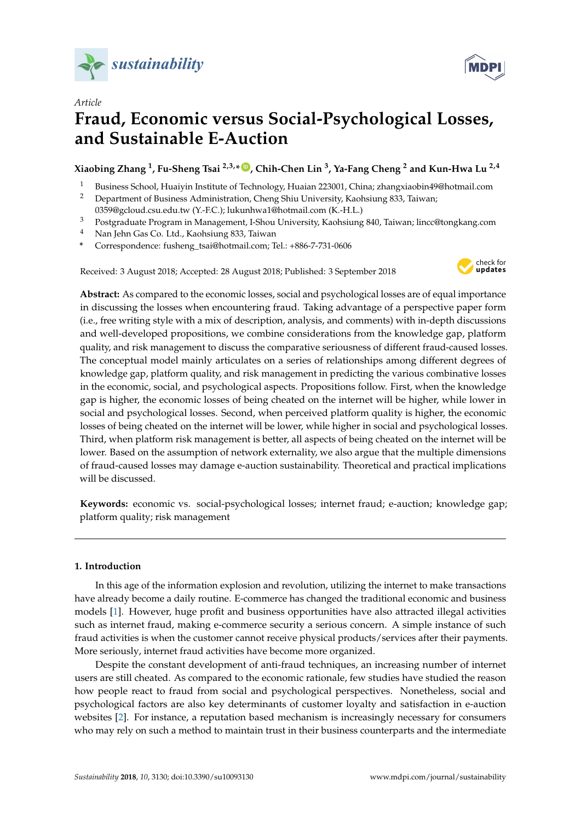



# *Article* **Fraud, Economic versus Social-Psychological Losses, and Sustainable E-Auction**

**Xiaobing Zhang <sup>1</sup> , Fu-Sheng Tsai 2,3,\* [ID](https://orcid.org/0000-0001-5736-9587) , Chih-Chen Lin <sup>3</sup> , Ya-Fang Cheng <sup>2</sup> and Kun-Hwa Lu 2,4**

- 1 Business School, Huaiyin Institute of Technology, Huaian 223001, China; zhangxiaobin49@hotmail.com<br>2 Department of Business Administration, Cheng Shiu University Kaobsiung 833, Taiwan:
- <sup>2</sup> Department of Business Administration, Cheng Shiu University, Kaohsiung 833, Taiwan;
- 0359@gcloud.csu.edu.tw (Y.-F.C.); lukunhwa1@hotmail.com (K.-H.L.)
- <sup>3</sup> Postgraduate Program in Management, I-Shou University, Kaohsiung 840, Taiwan; lincc@tongkang.com
- <sup>4</sup> Nan Jehn Gas Co. Ltd., Kaohsiung 833, Taiwan
- **\*** Correspondence: fusheng\_tsai@hotmail.com; Tel.: +886-7-731-0606

Received: 3 August 2018; Accepted: 28 August 2018; Published: 3 September 2018



**Abstract:** As compared to the economic losses, social and psychological losses are of equal importance in discussing the losses when encountering fraud. Taking advantage of a perspective paper form (i.e., free writing style with a mix of description, analysis, and comments) with in-depth discussions and well-developed propositions, we combine considerations from the knowledge gap, platform quality, and risk management to discuss the comparative seriousness of different fraud-caused losses. The conceptual model mainly articulates on a series of relationships among different degrees of knowledge gap, platform quality, and risk management in predicting the various combinative losses in the economic, social, and psychological aspects. Propositions follow. First, when the knowledge gap is higher, the economic losses of being cheated on the internet will be higher, while lower in social and psychological losses. Second, when perceived platform quality is higher, the economic losses of being cheated on the internet will be lower, while higher in social and psychological losses. Third, when platform risk management is better, all aspects of being cheated on the internet will be lower. Based on the assumption of network externality, we also argue that the multiple dimensions of fraud-caused losses may damage e-auction sustainability. Theoretical and practical implications will be discussed.

**Keywords:** economic vs. social-psychological losses; internet fraud; e-auction; knowledge gap; platform quality; risk management

# **1. Introduction**

In this age of the information explosion and revolution, utilizing the internet to make transactions have already become a daily routine. E-commerce has changed the traditional economic and business models [\[1\]](#page-10-0). However, huge profit and business opportunities have also attracted illegal activities such as internet fraud, making e-commerce security a serious concern. A simple instance of such fraud activities is when the customer cannot receive physical products/services after their payments. More seriously, internet fraud activities have become more organized.

Despite the constant development of anti-fraud techniques, an increasing number of internet users are still cheated. As compared to the economic rationale, few studies have studied the reason how people react to fraud from social and psychological perspectives. Nonetheless, social and psychological factors are also key determinants of customer loyalty and satisfaction in e-auction websites [\[2\]](#page-10-1). For instance, a reputation based mechanism is increasingly necessary for consumers who may rely on such a method to maintain trust in their business counterparts and the intermediate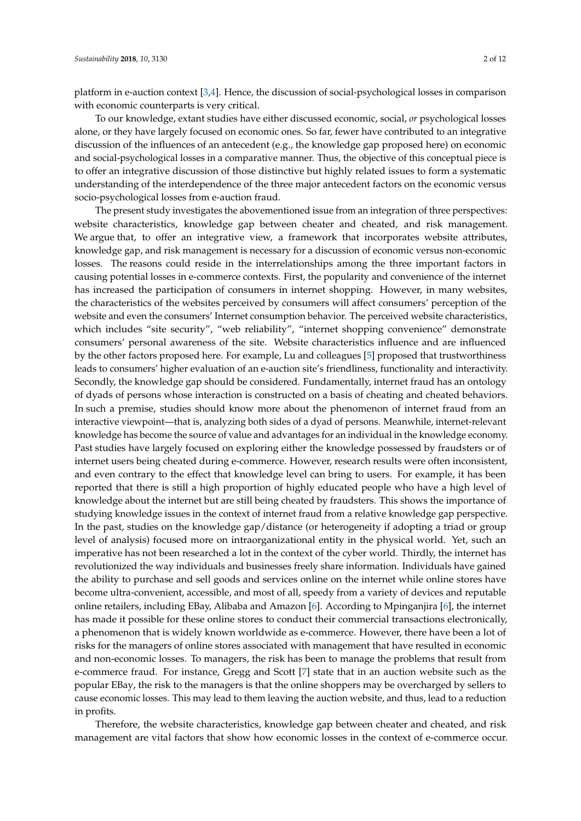platform in e-auction context [\[3](#page-10-2)[,4\]](#page-10-3). Hence, the discussion of social-psychological losses in comparison with economic counterparts is very critical.

To our knowledge, extant studies have either discussed economic, social, *or* psychological losses alone, or they have largely focused on economic ones. So far, fewer have contributed to an integrative discussion of the influences of an antecedent (e.g., the knowledge gap proposed here) on economic and social-psychological losses in a comparative manner. Thus, the objective of this conceptual piece is to offer an integrative discussion of those distinctive but highly related issues to form a systematic understanding of the interdependence of the three major antecedent factors on the economic versus socio-psychological losses from e-auction fraud.

The present study investigates the abovementioned issue from an integration of three perspectives: website characteristics, knowledge gap between cheater and cheated, and risk management. We argue that, to offer an integrative view, a framework that incorporates website attributes, knowledge gap, and risk management is necessary for a discussion of economic versus non-economic losses. The reasons could reside in the interrelationships among the three important factors in causing potential losses in e-commerce contexts. First, the popularity and convenience of the internet has increased the participation of consumers in internet shopping. However, in many websites, the characteristics of the websites perceived by consumers will affect consumers' perception of the website and even the consumers' Internet consumption behavior. The perceived website characteristics, which includes "site security", "web reliability", "internet shopping convenience" demonstrate consumers' personal awareness of the site. Website characteristics influence and are influenced by the other factors proposed here. For example, Lu and colleagues [\[5\]](#page-10-4) proposed that trustworthiness leads to consumers' higher evaluation of an e-auction site's friendliness, functionality and interactivity. Secondly, the knowledge gap should be considered. Fundamentally, internet fraud has an ontology of dyads of persons whose interaction is constructed on a basis of cheating and cheated behaviors. In such a premise, studies should know more about the phenomenon of internet fraud from an interactive viewpoint—that is, analyzing both sides of a dyad of persons. Meanwhile, internet-relevant knowledge has become the source of value and advantages for an individual in the knowledge economy. Past studies have largely focused on exploring either the knowledge possessed by fraudsters or of internet users being cheated during e-commerce. However, research results were often inconsistent, and even contrary to the effect that knowledge level can bring to users. For example, it has been reported that there is still a high proportion of highly educated people who have a high level of knowledge about the internet but are still being cheated by fraudsters. This shows the importance of studying knowledge issues in the context of internet fraud from a relative knowledge gap perspective. In the past, studies on the knowledge gap/distance (or heterogeneity if adopting a triad or group level of analysis) focused more on intraorganizational entity in the physical world. Yet, such an imperative has not been researched a lot in the context of the cyber world. Thirdly, the internet has revolutionized the way individuals and businesses freely share information. Individuals have gained the ability to purchase and sell goods and services online on the internet while online stores have become ultra-convenient, accessible, and most of all, speedy from a variety of devices and reputable online retailers, including EBay, Alibaba and Amazon [\[6\]](#page-10-5). According to Mpinganjira [\[6\]](#page-10-5), the internet has made it possible for these online stores to conduct their commercial transactions electronically, a phenomenon that is widely known worldwide as e-commerce. However, there have been a lot of risks for the managers of online stores associated with management that have resulted in economic and non-economic losses. To managers, the risk has been to manage the problems that result from e-commerce fraud. For instance, Gregg and Scott [\[7\]](#page-10-6) state that in an auction website such as the popular EBay, the risk to the managers is that the online shoppers may be overcharged by sellers to cause economic losses. This may lead to them leaving the auction website, and thus, lead to a reduction in profits.

Therefore, the website characteristics, knowledge gap between cheater and cheated, and risk management are vital factors that show how economic losses in the context of e-commerce occur.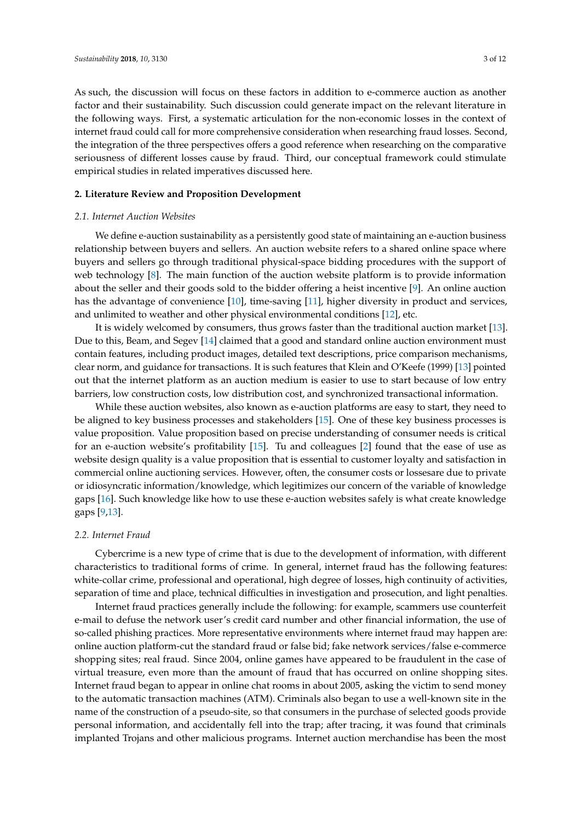As such, the discussion will focus on these factors in addition to e-commerce auction as another factor and their sustainability. Such discussion could generate impact on the relevant literature in the following ways. First, a systematic articulation for the non-economic losses in the context of internet fraud could call for more comprehensive consideration when researching fraud losses. Second, the integration of the three perspectives offers a good reference when researching on the comparative seriousness of different losses cause by fraud. Third, our conceptual framework could stimulate empirical studies in related imperatives discussed here.

## **2. Literature Review and Proposition Development**

### *2.1. Internet Auction Websites*

We define e-auction sustainability as a persistently good state of maintaining an e-auction business relationship between buyers and sellers. An auction website refers to a shared online space where buyers and sellers go through traditional physical-space bidding procedures with the support of web technology [\[8\]](#page-10-7). The main function of the auction website platform is to provide information about the seller and their goods sold to the bidder offering a heist incentive [\[9\]](#page-10-8). An online auction has the advantage of convenience [\[10\]](#page-10-9), time-saving [\[11\]](#page-10-10), higher diversity in product and services, and unlimited to weather and other physical environmental conditions [\[12\]](#page-10-11), etc.

It is widely welcomed by consumers, thus grows faster than the traditional auction market [\[13\]](#page-10-12). Due to this, Beam, and Segev [\[14\]](#page-10-13) claimed that a good and standard online auction environment must contain features, including product images, detailed text descriptions, price comparison mechanisms, clear norm, and guidance for transactions. It is such features that Klein and O'Keefe (1999) [\[13\]](#page-10-12) pointed out that the internet platform as an auction medium is easier to use to start because of low entry barriers, low construction costs, low distribution cost, and synchronized transactional information.

While these auction websites, also known as e-auction platforms are easy to start, they need to be aligned to key business processes and stakeholders [\[15\]](#page-10-14). One of these key business processes is value proposition. Value proposition based on precise understanding of consumer needs is critical for an e-auction website's profitability [\[15\]](#page-10-14). Tu and colleagues [\[2\]](#page-10-1) found that the ease of use as website design quality is a value proposition that is essential to customer loyalty and satisfaction in commercial online auctioning services. However, often, the consumer costs or lossesare due to private or idiosyncratic information/knowledge, which legitimizes our concern of the variable of knowledge gaps [\[16\]](#page-10-15). Such knowledge like how to use these e-auction websites safely is what create knowledge gaps [\[9,](#page-10-8)[13\]](#page-10-12).

## *2.2. Internet Fraud*

Cybercrime is a new type of crime that is due to the development of information, with different characteristics to traditional forms of crime. In general, internet fraud has the following features: white-collar crime, professional and operational, high degree of losses, high continuity of activities, separation of time and place, technical difficulties in investigation and prosecution, and light penalties.

Internet fraud practices generally include the following: for example, scammers use counterfeit e-mail to defuse the network user's credit card number and other financial information, the use of so-called phishing practices. More representative environments where internet fraud may happen are: online auction platform-cut the standard fraud or false bid; fake network services/false e-commerce shopping sites; real fraud. Since 2004, online games have appeared to be fraudulent in the case of virtual treasure, even more than the amount of fraud that has occurred on online shopping sites. Internet fraud began to appear in online chat rooms in about 2005, asking the victim to send money to the automatic transaction machines (ATM). Criminals also began to use a well-known site in the name of the construction of a pseudo-site, so that consumers in the purchase of selected goods provide personal information, and accidentally fell into the trap; after tracing, it was found that criminals implanted Trojans and other malicious programs. Internet auction merchandise has been the most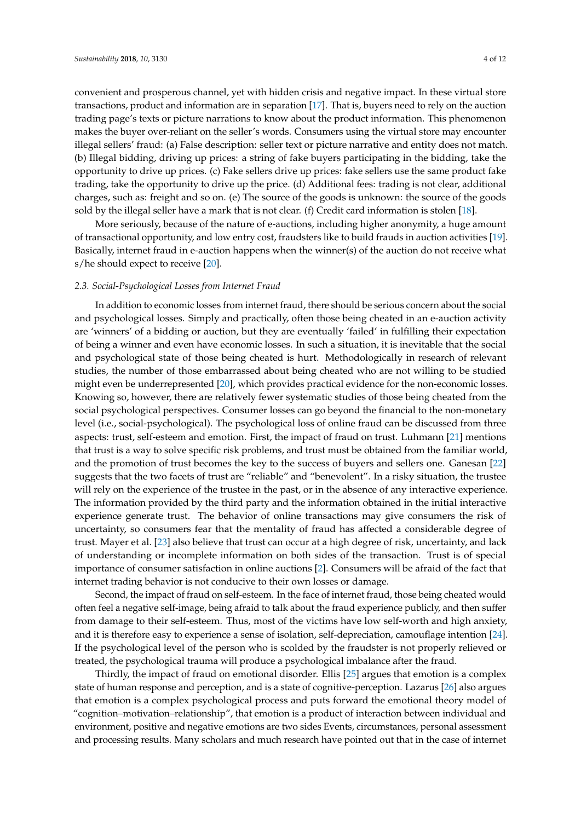convenient and prosperous channel, yet with hidden crisis and negative impact. In these virtual store transactions, product and information are in separation [\[17\]](#page-10-16). That is, buyers need to rely on the auction trading page's texts or picture narrations to know about the product information. This phenomenon makes the buyer over-reliant on the seller's words. Consumers using the virtual store may encounter illegal sellers' fraud: (a) False description: seller text or picture narrative and entity does not match. (b) Illegal bidding, driving up prices: a string of fake buyers participating in the bidding, take the opportunity to drive up prices. (c) Fake sellers drive up prices: fake sellers use the same product fake trading, take the opportunity to drive up the price. (d) Additional fees: trading is not clear, additional charges, such as: freight and so on. (e) The source of the goods is unknown: the source of the goods sold by the illegal seller have a mark that is not clear. (f) Credit card information is stolen [\[18\]](#page-10-17).

More seriously, because of the nature of e-auctions, including higher anonymity, a huge amount of transactional opportunity, and low entry cost, fraudsters like to build frauds in auction activities [\[19\]](#page-10-18). Basically, internet fraud in e-auction happens when the winner(s) of the auction do not receive what s/he should expect to receive [\[20\]](#page-10-19).

# *2.3. Social-Psychological Losses from Internet Fraud*

In addition to economic losses from internet fraud, there should be serious concern about the social and psychological losses. Simply and practically, often those being cheated in an e-auction activity are 'winners' of a bidding or auction, but they are eventually 'failed' in fulfilling their expectation of being a winner and even have economic losses. In such a situation, it is inevitable that the social and psychological state of those being cheated is hurt. Methodologically in research of relevant studies, the number of those embarrassed about being cheated who are not willing to be studied might even be underrepresented [\[20\]](#page-10-19), which provides practical evidence for the non-economic losses. Knowing so, however, there are relatively fewer systematic studies of those being cheated from the social psychological perspectives. Consumer losses can go beyond the financial to the non-monetary level (i.e., social-psychological). The psychological loss of online fraud can be discussed from three aspects: trust, self-esteem and emotion. First, the impact of fraud on trust. Luhmann [\[21\]](#page-10-20) mentions that trust is a way to solve specific risk problems, and trust must be obtained from the familiar world, and the promotion of trust becomes the key to the success of buyers and sellers one. Ganesan [\[22\]](#page-10-21) suggests that the two facets of trust are "reliable" and "benevolent". In a risky situation, the trustee will rely on the experience of the trustee in the past, or in the absence of any interactive experience. The information provided by the third party and the information obtained in the initial interactive experience generate trust. The behavior of online transactions may give consumers the risk of uncertainty, so consumers fear that the mentality of fraud has affected a considerable degree of trust. Mayer et al. [\[23\]](#page-10-22) also believe that trust can occur at a high degree of risk, uncertainty, and lack of understanding or incomplete information on both sides of the transaction. Trust is of special importance of consumer satisfaction in online auctions [\[2\]](#page-10-1). Consumers will be afraid of the fact that internet trading behavior is not conducive to their own losses or damage.

Second, the impact of fraud on self-esteem. In the face of internet fraud, those being cheated would often feel a negative self-image, being afraid to talk about the fraud experience publicly, and then suffer from damage to their self-esteem. Thus, most of the victims have low self-worth and high anxiety, and it is therefore easy to experience a sense of isolation, self-depreciation, camouflage intention [\[24\]](#page-10-23). If the psychological level of the person who is scolded by the fraudster is not properly relieved or treated, the psychological trauma will produce a psychological imbalance after the fraud.

Thirdly, the impact of fraud on emotional disorder. Ellis [\[25\]](#page-10-24) argues that emotion is a complex state of human response and perception, and is a state of cognitive-perception. Lazarus [\[26\]](#page-10-25) also argues that emotion is a complex psychological process and puts forward the emotional theory model of "cognition–motivation–relationship", that emotion is a product of interaction between individual and environment, positive and negative emotions are two sides Events, circumstances, personal assessment and processing results. Many scholars and much research have pointed out that in the case of internet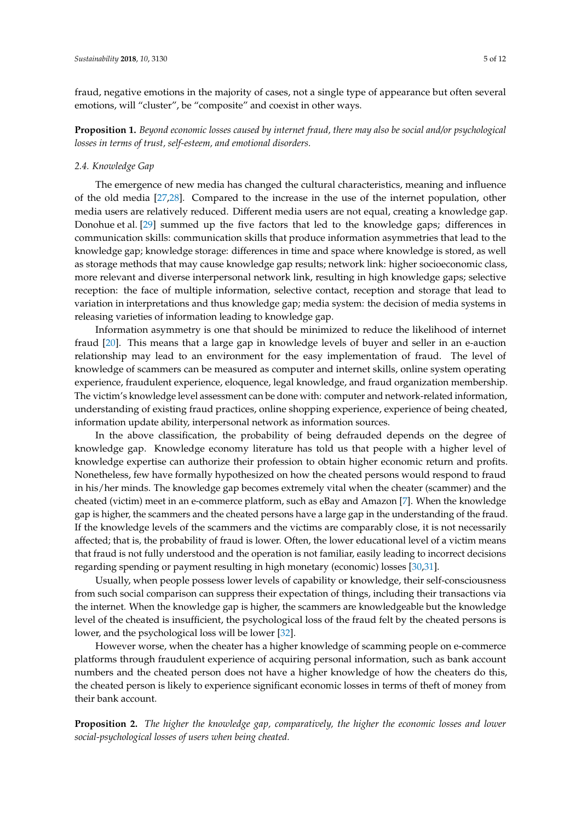fraud, negative emotions in the majority of cases, not a single type of appearance but often several emotions, will "cluster", be "composite" and coexist in other ways.

**Proposition 1.** *Beyond economic losses caused by internet fraud, there may also be social and/or psychological losses in terms of trust, self-esteem, and emotional disorders.*

# *2.4. Knowledge Gap*

The emergence of new media has changed the cultural characteristics, meaning and influence of the old media [\[27,](#page-10-26)[28\]](#page-11-0). Compared to the increase in the use of the internet population, other media users are relatively reduced. Different media users are not equal, creating a knowledge gap. Donohue et al. [\[29\]](#page-11-1) summed up the five factors that led to the knowledge gaps; differences in communication skills: communication skills that produce information asymmetries that lead to the knowledge gap; knowledge storage: differences in time and space where knowledge is stored, as well as storage methods that may cause knowledge gap results; network link: higher socioeconomic class, more relevant and diverse interpersonal network link, resulting in high knowledge gaps; selective reception: the face of multiple information, selective contact, reception and storage that lead to variation in interpretations and thus knowledge gap; media system: the decision of media systems in releasing varieties of information leading to knowledge gap.

Information asymmetry is one that should be minimized to reduce the likelihood of internet fraud [\[20\]](#page-10-19). This means that a large gap in knowledge levels of buyer and seller in an e-auction relationship may lead to an environment for the easy implementation of fraud. The level of knowledge of scammers can be measured as computer and internet skills, online system operating experience, fraudulent experience, eloquence, legal knowledge, and fraud organization membership. The victim's knowledge level assessment can be done with: computer and network-related information, understanding of existing fraud practices, online shopping experience, experience of being cheated, information update ability, interpersonal network as information sources.

In the above classification, the probability of being defrauded depends on the degree of knowledge gap. Knowledge economy literature has told us that people with a higher level of knowledge expertise can authorize their profession to obtain higher economic return and profits. Nonetheless, few have formally hypothesized on how the cheated persons would respond to fraud in his/her minds. The knowledge gap becomes extremely vital when the cheater (scammer) and the cheated (victim) meet in an e-commerce platform, such as eBay and Amazon [\[7\]](#page-10-6). When the knowledge gap is higher, the scammers and the cheated persons have a large gap in the understanding of the fraud. If the knowledge levels of the scammers and the victims are comparably close, it is not necessarily affected; that is, the probability of fraud is lower. Often, the lower educational level of a victim means that fraud is not fully understood and the operation is not familiar, easily leading to incorrect decisions regarding spending or payment resulting in high monetary (economic) losses [\[30,](#page-11-2)[31\]](#page-11-3).

Usually, when people possess lower levels of capability or knowledge, their self-consciousness from such social comparison can suppress their expectation of things, including their transactions via the internet. When the knowledge gap is higher, the scammers are knowledgeable but the knowledge level of the cheated is insufficient, the psychological loss of the fraud felt by the cheated persons is lower, and the psychological loss will be lower [\[32\]](#page-11-4).

However worse, when the cheater has a higher knowledge of scamming people on e-commerce platforms through fraudulent experience of acquiring personal information, such as bank account numbers and the cheated person does not have a higher knowledge of how the cheaters do this, the cheated person is likely to experience significant economic losses in terms of theft of money from their bank account.

**Proposition 2.** *The higher the knowledge gap, comparatively, the higher the economic losses and lower social-psychological losses of users when being cheated.*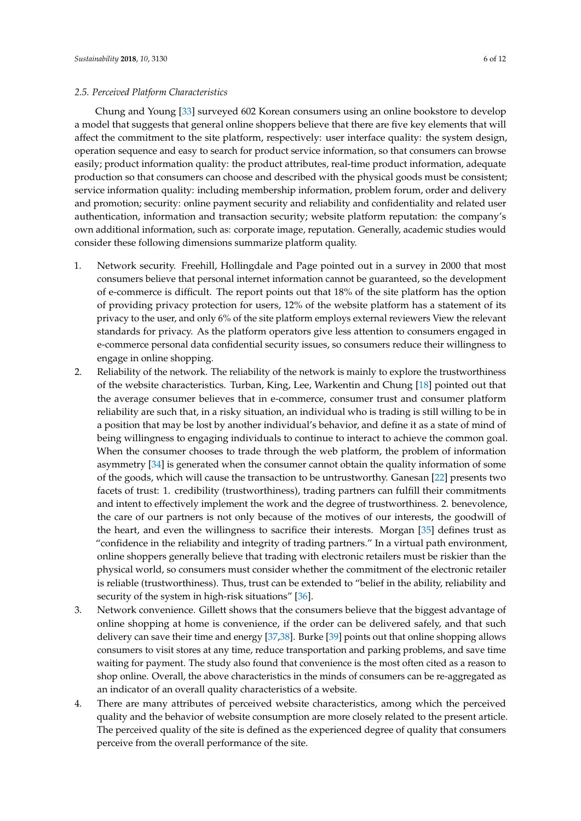# *2.5. Perceived Platform Characteristics*

Chung and Young [\[33\]](#page-11-5) surveyed 602 Korean consumers using an online bookstore to develop a model that suggests that general online shoppers believe that there are five key elements that will affect the commitment to the site platform, respectively: user interface quality: the system design, operation sequence and easy to search for product service information, so that consumers can browse easily; product information quality: the product attributes, real-time product information, adequate production so that consumers can choose and described with the physical goods must be consistent; service information quality: including membership information, problem forum, order and delivery and promotion; security: online payment security and reliability and confidentiality and related user authentication, information and transaction security; website platform reputation: the company's own additional information, such as: corporate image, reputation. Generally, academic studies would consider these following dimensions summarize platform quality.

- 1. Network security. Freehill, Hollingdale and Page pointed out in a survey in 2000 that most consumers believe that personal internet information cannot be guaranteed, so the development of e-commerce is difficult. The report points out that 18% of the site platform has the option of providing privacy protection for users, 12% of the website platform has a statement of its privacy to the user, and only 6% of the site platform employs external reviewers View the relevant standards for privacy. As the platform operators give less attention to consumers engaged in e-commerce personal data confidential security issues, so consumers reduce their willingness to engage in online shopping.
- 2. Reliability of the network. The reliability of the network is mainly to explore the trustworthiness of the website characteristics. Turban, King, Lee, Warkentin and Chung [\[18\]](#page-10-17) pointed out that the average consumer believes that in e-commerce, consumer trust and consumer platform reliability are such that, in a risky situation, an individual who is trading is still willing to be in a position that may be lost by another individual's behavior, and define it as a state of mind of being willingness to engaging individuals to continue to interact to achieve the common goal. When the consumer chooses to trade through the web platform, the problem of information asymmetry [\[34\]](#page-11-6) is generated when the consumer cannot obtain the quality information of some of the goods, which will cause the transaction to be untrustworthy. Ganesan [\[22\]](#page-10-21) presents two facets of trust: 1. credibility (trustworthiness), trading partners can fulfill their commitments and intent to effectively implement the work and the degree of trustworthiness. 2. benevolence, the care of our partners is not only because of the motives of our interests, the goodwill of the heart, and even the willingness to sacrifice their interests. Morgan [\[35\]](#page-11-7) defines trust as "confidence in the reliability and integrity of trading partners." In a virtual path environment, online shoppers generally believe that trading with electronic retailers must be riskier than the physical world, so consumers must consider whether the commitment of the electronic retailer is reliable (trustworthiness). Thus, trust can be extended to "belief in the ability, reliability and security of the system in high-risk situations" [\[36\]](#page-11-8).
- 3. Network convenience. Gillett shows that the consumers believe that the biggest advantage of online shopping at home is convenience, if the order can be delivered safely, and that such delivery can save their time and energy [\[37,](#page-11-9)[38\]](#page-11-10). Burke [\[39\]](#page-11-11) points out that online shopping allows consumers to visit stores at any time, reduce transportation and parking problems, and save time waiting for payment. The study also found that convenience is the most often cited as a reason to shop online. Overall, the above characteristics in the minds of consumers can be re-aggregated as an indicator of an overall quality characteristics of a website.
- 4. There are many attributes of perceived website characteristics, among which the perceived quality and the behavior of website consumption are more closely related to the present article. The perceived quality of the site is defined as the experienced degree of quality that consumers perceive from the overall performance of the site.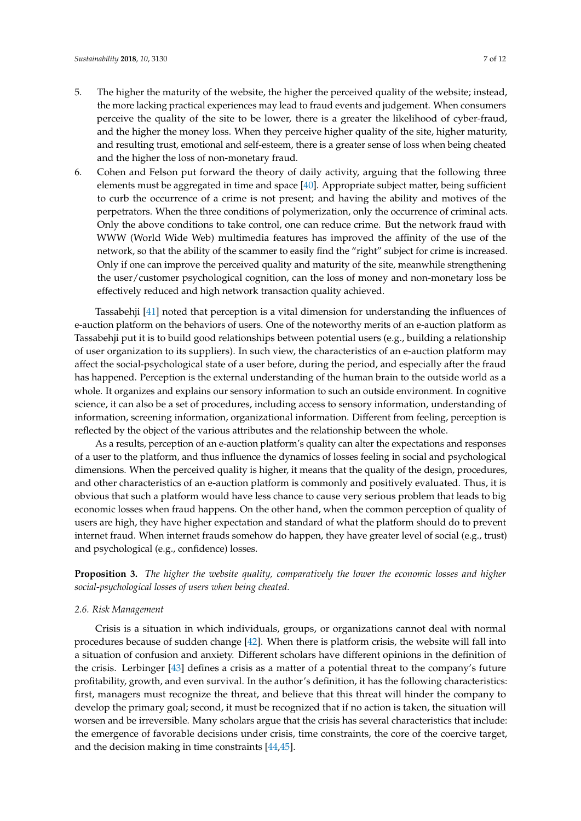- 5. The higher the maturity of the website, the higher the perceived quality of the website; instead, the more lacking practical experiences may lead to fraud events and judgement. When consumers perceive the quality of the site to be lower, there is a greater the likelihood of cyber-fraud, and the higher the money loss. When they perceive higher quality of the site, higher maturity, and resulting trust, emotional and self-esteem, there is a greater sense of loss when being cheated and the higher the loss of non-monetary fraud.
- 6. Cohen and Felson put forward the theory of daily activity, arguing that the following three elements must be aggregated in time and space [\[40\]](#page-11-12). Appropriate subject matter, being sufficient to curb the occurrence of a crime is not present; and having the ability and motives of the perpetrators. When the three conditions of polymerization, only the occurrence of criminal acts. Only the above conditions to take control, one can reduce crime. But the network fraud with WWW (World Wide Web) multimedia features has improved the affinity of the use of the network, so that the ability of the scammer to easily find the "right" subject for crime is increased. Only if one can improve the perceived quality and maturity of the site, meanwhile strengthening the user/customer psychological cognition, can the loss of money and non-monetary loss be effectively reduced and high network transaction quality achieved.

Tassabehji [\[41\]](#page-11-13) noted that perception is a vital dimension for understanding the influences of e-auction platform on the behaviors of users. One of the noteworthy merits of an e-auction platform as Tassabehji put it is to build good relationships between potential users (e.g., building a relationship of user organization to its suppliers). In such view, the characteristics of an e-auction platform may affect the social-psychological state of a user before, during the period, and especially after the fraud has happened. Perception is the external understanding of the human brain to the outside world as a whole. It organizes and explains our sensory information to such an outside environment. In cognitive science, it can also be a set of procedures, including access to sensory information, understanding of information, screening information, organizational information. Different from feeling, perception is reflected by the object of the various attributes and the relationship between the whole.

As a results, perception of an e-auction platform's quality can alter the expectations and responses of a user to the platform, and thus influence the dynamics of losses feeling in social and psychological dimensions. When the perceived quality is higher, it means that the quality of the design, procedures, and other characteristics of an e-auction platform is commonly and positively evaluated. Thus, it is obvious that such a platform would have less chance to cause very serious problem that leads to big economic losses when fraud happens. On the other hand, when the common perception of quality of users are high, they have higher expectation and standard of what the platform should do to prevent internet fraud. When internet frauds somehow do happen, they have greater level of social (e.g., trust) and psychological (e.g., confidence) losses.

**Proposition 3.** *The higher the website quality, comparatively the lower the economic losses and higher social-psychological losses of users when being cheated.*

#### *2.6. Risk Management*

Crisis is a situation in which individuals, groups, or organizations cannot deal with normal procedures because of sudden change [\[42\]](#page-11-14). When there is platform crisis, the website will fall into a situation of confusion and anxiety. Different scholars have different opinions in the definition of the crisis. Lerbinger [\[43\]](#page-11-15) defines a crisis as a matter of a potential threat to the company's future profitability, growth, and even survival. In the author's definition, it has the following characteristics: first, managers must recognize the threat, and believe that this threat will hinder the company to develop the primary goal; second, it must be recognized that if no action is taken, the situation will worsen and be irreversible. Many scholars argue that the crisis has several characteristics that include: the emergence of favorable decisions under crisis, time constraints, the core of the coercive target, and the decision making in time constraints [\[44,](#page-11-16)[45\]](#page-11-17).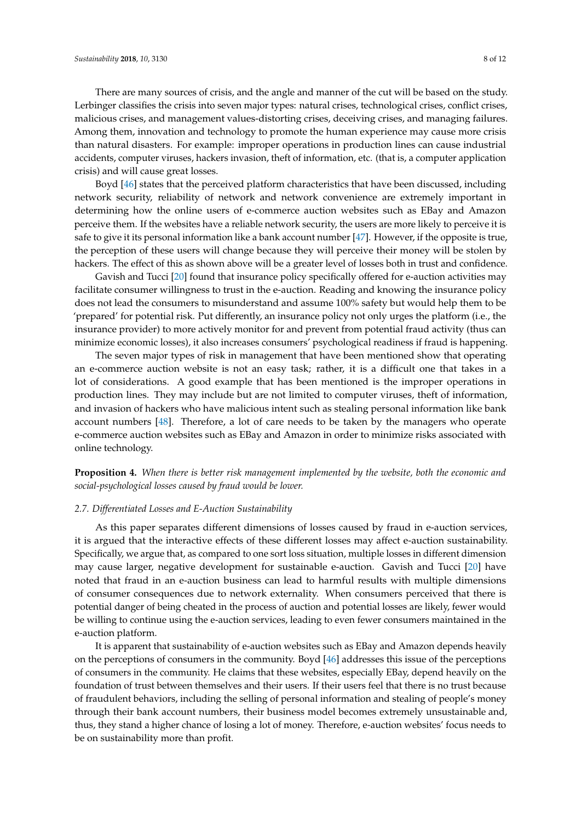There are many sources of crisis, and the angle and manner of the cut will be based on the study. Lerbinger classifies the crisis into seven major types: natural crises, technological crises, conflict crises, malicious crises, and management values-distorting crises, deceiving crises, and managing failures. Among them, innovation and technology to promote the human experience may cause more crisis than natural disasters. For example: improper operations in production lines can cause industrial accidents, computer viruses, hackers invasion, theft of information, etc. (that is, a computer application crisis) and will cause great losses.

Boyd [\[46\]](#page-11-18) states that the perceived platform characteristics that have been discussed, including network security, reliability of network and network convenience are extremely important in determining how the online users of e-commerce auction websites such as EBay and Amazon perceive them. If the websites have a reliable network security, the users are more likely to perceive it is safe to give it its personal information like a bank account number [\[47\]](#page-11-19). However, if the opposite is true, the perception of these users will change because they will perceive their money will be stolen by hackers. The effect of this as shown above will be a greater level of losses both in trust and confidence.

Gavish and Tucci [\[20\]](#page-10-19) found that insurance policy specifically offered for e-auction activities may facilitate consumer willingness to trust in the e-auction. Reading and knowing the insurance policy does not lead the consumers to misunderstand and assume 100% safety but would help them to be 'prepared' for potential risk. Put differently, an insurance policy not only urges the platform (i.e., the insurance provider) to more actively monitor for and prevent from potential fraud activity (thus can minimize economic losses), it also increases consumers' psychological readiness if fraud is happening.

The seven major types of risk in management that have been mentioned show that operating an e-commerce auction website is not an easy task; rather, it is a difficult one that takes in a lot of considerations. A good example that has been mentioned is the improper operations in production lines. They may include but are not limited to computer viruses, theft of information, and invasion of hackers who have malicious intent such as stealing personal information like bank account numbers [\[48\]](#page-11-20). Therefore, a lot of care needs to be taken by the managers who operate e-commerce auction websites such as EBay and Amazon in order to minimize risks associated with online technology.

**Proposition 4.** *When there is better risk management implemented by the website, both the economic and social-psychological losses caused by fraud would be lower.*

#### *2.7. Differentiated Losses and E-Auction Sustainability*

As this paper separates different dimensions of losses caused by fraud in e-auction services, it is argued that the interactive effects of these different losses may affect e-auction sustainability. Specifically, we argue that, as compared to one sort loss situation, multiple losses in different dimension may cause larger, negative development for sustainable e-auction. Gavish and Tucci [\[20\]](#page-10-19) have noted that fraud in an e-auction business can lead to harmful results with multiple dimensions of consumer consequences due to network externality. When consumers perceived that there is potential danger of being cheated in the process of auction and potential losses are likely, fewer would be willing to continue using the e-auction services, leading to even fewer consumers maintained in the e-auction platform.

It is apparent that sustainability of e-auction websites such as EBay and Amazon depends heavily on the perceptions of consumers in the community. Boyd [\[46\]](#page-11-18) addresses this issue of the perceptions of consumers in the community. He claims that these websites, especially EBay, depend heavily on the foundation of trust between themselves and their users. If their users feel that there is no trust because of fraudulent behaviors, including the selling of personal information and stealing of people's money through their bank account numbers, their business model becomes extremely unsustainable and, thus, they stand a higher chance of losing a lot of money. Therefore, e-auction websites' focus needs to be on sustainability more than profit.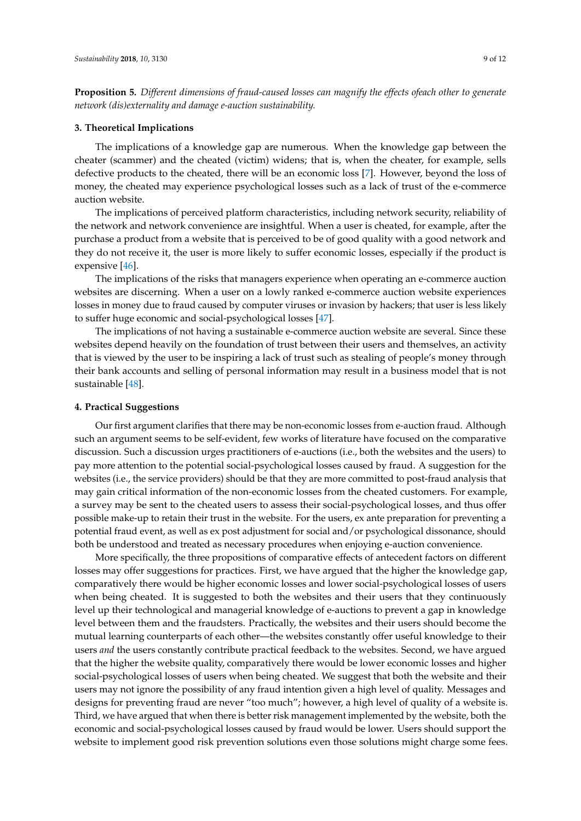**Proposition 5.** *Different dimensions of fraud-caused losses can magnify the effects ofeach other to generate network (dis)externality and damage e-auction sustainability.*

# **3. Theoretical Implications**

The implications of a knowledge gap are numerous. When the knowledge gap between the cheater (scammer) and the cheated (victim) widens; that is, when the cheater, for example, sells defective products to the cheated, there will be an economic loss [\[7\]](#page-10-6). However, beyond the loss of money, the cheated may experience psychological losses such as a lack of trust of the e-commerce auction website.

The implications of perceived platform characteristics, including network security, reliability of the network and network convenience are insightful. When a user is cheated, for example, after the purchase a product from a website that is perceived to be of good quality with a good network and they do not receive it, the user is more likely to suffer economic losses, especially if the product is expensive [\[46\]](#page-11-18).

The implications of the risks that managers experience when operating an e-commerce auction websites are discerning. When a user on a lowly ranked e-commerce auction website experiences losses in money due to fraud caused by computer viruses or invasion by hackers; that user is less likely to suffer huge economic and social-psychological losses [\[47\]](#page-11-19).

The implications of not having a sustainable e-commerce auction website are several. Since these websites depend heavily on the foundation of trust between their users and themselves, an activity that is viewed by the user to be inspiring a lack of trust such as stealing of people's money through their bank accounts and selling of personal information may result in a business model that is not sustainable [\[48\]](#page-11-20).

## **4. Practical Suggestions**

Our first argument clarifies that there may be non-economic losses from e-auction fraud. Although such an argument seems to be self-evident, few works of literature have focused on the comparative discussion. Such a discussion urges practitioners of e-auctions (i.e., both the websites and the users) to pay more attention to the potential social-psychological losses caused by fraud. A suggestion for the websites (i.e., the service providers) should be that they are more committed to post-fraud analysis that may gain critical information of the non-economic losses from the cheated customers. For example, a survey may be sent to the cheated users to assess their social-psychological losses, and thus offer possible make-up to retain their trust in the website. For the users, ex ante preparation for preventing a potential fraud event, as well as ex post adjustment for social and/or psychological dissonance, should both be understood and treated as necessary procedures when enjoying e-auction convenience.

More specifically, the three propositions of comparative effects of antecedent factors on different losses may offer suggestions for practices. First, we have argued that the higher the knowledge gap, comparatively there would be higher economic losses and lower social-psychological losses of users when being cheated. It is suggested to both the websites and their users that they continuously level up their technological and managerial knowledge of e-auctions to prevent a gap in knowledge level between them and the fraudsters. Practically, the websites and their users should become the mutual learning counterparts of each other—the websites constantly offer useful knowledge to their users *and* the users constantly contribute practical feedback to the websites. Second, we have argued that the higher the website quality, comparatively there would be lower economic losses and higher social-psychological losses of users when being cheated. We suggest that both the website and their users may not ignore the possibility of any fraud intention given a high level of quality. Messages and designs for preventing fraud are never "too much"; however, a high level of quality of a website is. Third, we have argued that when there is better risk management implemented by the website, both the economic and social-psychological losses caused by fraud would be lower. Users should support the website to implement good risk prevention solutions even those solutions might charge some fees.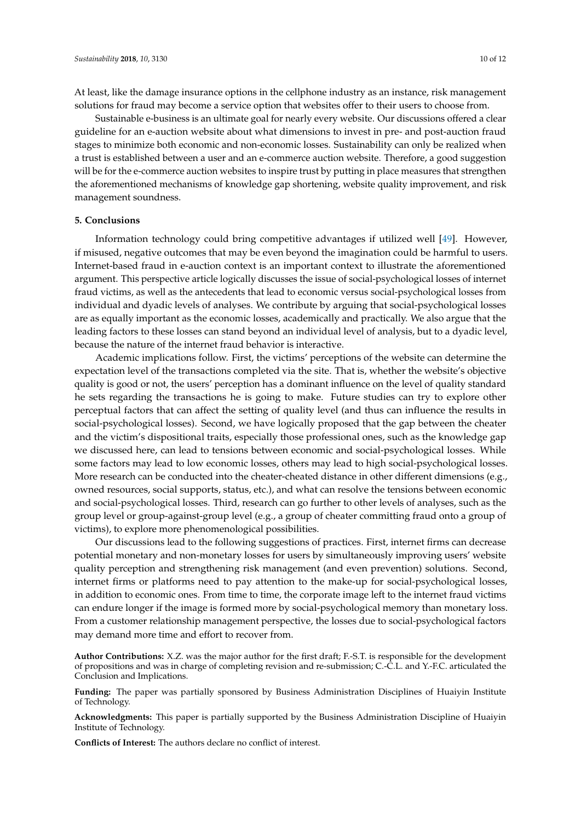At least, like the damage insurance options in the cellphone industry as an instance, risk management solutions for fraud may become a service option that websites offer to their users to choose from.

Sustainable e-business is an ultimate goal for nearly every website. Our discussions offered a clear guideline for an e-auction website about what dimensions to invest in pre- and post-auction fraud stages to minimize both economic and non-economic losses. Sustainability can only be realized when a trust is established between a user and an e-commerce auction website. Therefore, a good suggestion will be for the e-commerce auction websites to inspire trust by putting in place measures that strengthen the aforementioned mechanisms of knowledge gap shortening, website quality improvement, and risk management soundness.

#### **5. Conclusions**

Information technology could bring competitive advantages if utilized well [\[49\]](#page-11-21). However, if misused, negative outcomes that may be even beyond the imagination could be harmful to users. Internet-based fraud in e-auction context is an important context to illustrate the aforementioned argument. This perspective article logically discusses the issue of social-psychological losses of internet fraud victims, as well as the antecedents that lead to economic versus social-psychological losses from individual and dyadic levels of analyses. We contribute by arguing that social-psychological losses are as equally important as the economic losses, academically and practically. We also argue that the leading factors to these losses can stand beyond an individual level of analysis, but to a dyadic level, because the nature of the internet fraud behavior is interactive.

Academic implications follow. First, the victims' perceptions of the website can determine the expectation level of the transactions completed via the site. That is, whether the website's objective quality is good or not, the users' perception has a dominant influence on the level of quality standard he sets regarding the transactions he is going to make. Future studies can try to explore other perceptual factors that can affect the setting of quality level (and thus can influence the results in social-psychological losses). Second, we have logically proposed that the gap between the cheater and the victim's dispositional traits, especially those professional ones, such as the knowledge gap we discussed here, can lead to tensions between economic and social-psychological losses. While some factors may lead to low economic losses, others may lead to high social-psychological losses. More research can be conducted into the cheater-cheated distance in other different dimensions (e.g., owned resources, social supports, status, etc.), and what can resolve the tensions between economic and social-psychological losses. Third, research can go further to other levels of analyses, such as the group level or group-against-group level (e.g., a group of cheater committing fraud onto a group of victims), to explore more phenomenological possibilities.

Our discussions lead to the following suggestions of practices. First, internet firms can decrease potential monetary and non-monetary losses for users by simultaneously improving users' website quality perception and strengthening risk management (and even prevention) solutions. Second, internet firms or platforms need to pay attention to the make-up for social-psychological losses, in addition to economic ones. From time to time, the corporate image left to the internet fraud victims can endure longer if the image is formed more by social-psychological memory than monetary loss. From a customer relationship management perspective, the losses due to social-psychological factors may demand more time and effort to recover from.

**Author Contributions:** X.Z. was the major author for the first draft; F.-S.T. is responsible for the development of propositions and was in charge of completing revision and re-submission; C.-C.L. and Y.-F.C. articulated the Conclusion and Implications.

**Funding:** The paper was partially sponsored by Business Administration Disciplines of Huaiyin Institute of Technology.

**Acknowledgments:** This paper is partially supported by the Business Administration Discipline of Huaiyin Institute of Technology.

**Conflicts of Interest:** The authors declare no conflict of interest.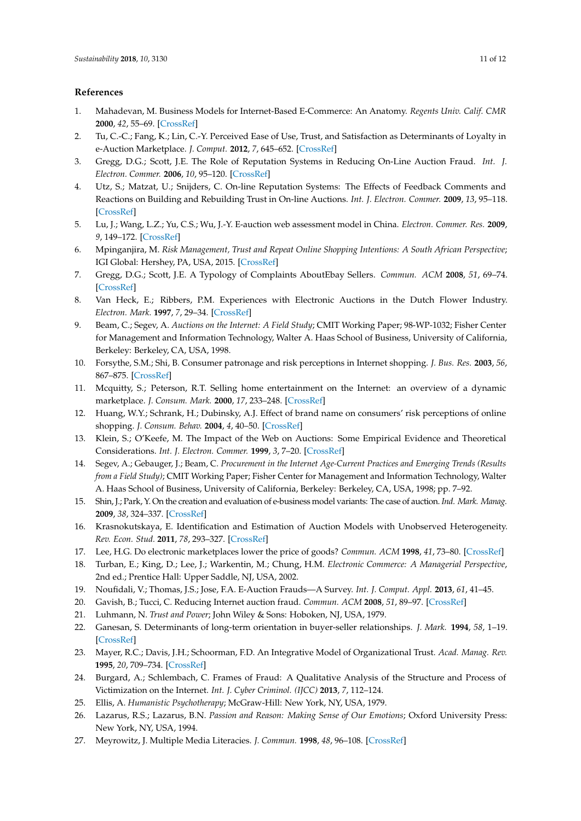# **References**

- <span id="page-10-0"></span>1. Mahadevan, M. Business Models for Internet-Based E-Commerce: An Anatomy. *Regents Univ. Calif. CMR* **2000**, *42*, 55–69. [\[CrossRef\]](http://dx.doi.org/10.2307/41166053)
- <span id="page-10-1"></span>2. Tu, C.-C.; Fang, K.; Lin, C.-Y. Perceived Ease of Use, Trust, and Satisfaction as Determinants of Loyalty in e-Auction Marketplace. *J. Comput.* **2012**, *7*, 645–652. [\[CrossRef\]](http://dx.doi.org/10.4304/jcp.7.3.645-652)
- <span id="page-10-2"></span>3. Gregg, D.G.; Scott, J.E. The Role of Reputation Systems in Reducing On-Line Auction Fraud. *Int. J. Electron. Commer.* **2006**, *10*, 95–120. [\[CrossRef\]](http://dx.doi.org/10.2753/JEC1086-4415100304)
- <span id="page-10-3"></span>4. Utz, S.; Matzat, U.; Snijders, C. On-line Reputation Systems: The Effects of Feedback Comments and Reactions on Building and Rebuilding Trust in On-line Auctions. *Int. J. Electron. Commer.* **2009**, *13*, 95–118. [\[CrossRef\]](http://dx.doi.org/10.2753/JEC1086-4415130304)
- <span id="page-10-4"></span>5. Lu, J.; Wang, L.Z.; Yu, C.S.; Wu, J.-Y. E-auction web assessment model in China. *Electron. Commer. Res.* **2009**, *9*, 149–172. [\[CrossRef\]](http://dx.doi.org/10.1007/s10660-009-9033-5)
- <span id="page-10-5"></span>6. Mpinganjira, M. *Risk Management, Trust and Repeat Online Shopping Intentions: A South African Perspective*; IGI Global: Hershey, PA, USA, 2015. [\[CrossRef\]](http://dx.doi.org/10.4018/978-1-4666-8459-1.ch014)
- <span id="page-10-6"></span>7. Gregg, D.G.; Scott, J.E. A Typology of Complaints AboutEbay Sellers. *Commun. ACM* **2008**, *51*, 69–74. [\[CrossRef\]](http://dx.doi.org/10.1145/1330311.1330326)
- <span id="page-10-7"></span>8. Van Heck, E.; Ribbers, P.M. Experiences with Electronic Auctions in the Dutch Flower Industry. *Electron. Mark.* **1997**, *7*, 29–34. [\[CrossRef\]](http://dx.doi.org/10.1080/10196789700000046)
- <span id="page-10-8"></span>9. Beam, C.; Segev, A. *Auctions on the Internet: A Field Study*; CMIT Working Paper; 98-WP-1032; Fisher Center for Management and Information Technology, Walter A. Haas School of Business, University of California, Berkeley: Berkeley, CA, USA, 1998.
- <span id="page-10-9"></span>10. Forsythe, S.M.; Shi, B. Consumer patronage and risk perceptions in Internet shopping. *J. Bus. Res.* **2003**, *56*, 867–875. [\[CrossRef\]](http://dx.doi.org/10.1016/S0148-2963(01)00273-9)
- <span id="page-10-10"></span>11. Mcquitty, S.; Peterson, R.T. Selling home entertainment on the Internet: an overview of a dynamic marketplace. *J. Consum. Mark.* **2000**, *17*, 233–248. [\[CrossRef\]](http://dx.doi.org/10.1108/07363760010329229)
- <span id="page-10-11"></span>12. Huang, W.Y.; Schrank, H.; Dubinsky, A.J. Effect of brand name on consumers' risk perceptions of online shopping. *J. Consum. Behav.* **2004**, *4*, 40–50. [\[CrossRef\]](http://dx.doi.org/10.1002/cb.156)
- <span id="page-10-12"></span>13. Klein, S.; O'Keefe, M. The Impact of the Web on Auctions: Some Empirical Evidence and Theoretical Considerations. *Int. J. Electron. Commer.* **1999**, *3*, 7–20. [\[CrossRef\]](http://dx.doi.org/10.1080/10864415.1999.11518338)
- <span id="page-10-13"></span>14. Segev, A.; Gebauger, J.; Beam, C. *Procurement in the Internet Age-Current Practices and Emerging Trends (Results from a Field Study)*; CMIT Working Paper; Fisher Center for Management and Information Technology, Walter A. Haas School of Business, University of California, Berkeley: Berkeley, CA, USA, 1998; pp. 7–92.
- <span id="page-10-14"></span>15. Shin, J.; Park, Y. On the creation and evaluation of e-business model variants: The case of auction. *Ind. Mark. Manag.* **2009**, *38*, 324–337. [\[CrossRef\]](http://dx.doi.org/10.1016/j.indmarman.2007.06.017)
- <span id="page-10-15"></span>16. Krasnokutskaya, E. Identification and Estimation of Auction Models with Unobserved Heterogeneity. *Rev. Econ. Stud.* **2011**, *78*, 293–327. [\[CrossRef\]](http://dx.doi.org/10.1093/restud/rdq004)
- <span id="page-10-16"></span>17. Lee, H.G. Do electronic marketplaces lower the price of goods? *Commun. ACM* **1998**, *41*, 73–80. [\[CrossRef\]](http://dx.doi.org/10.1145/268092.268122)
- <span id="page-10-17"></span>18. Turban, E.; King, D.; Lee, J.; Warkentin, M.; Chung, H.M. *Electronic Commerce: A Managerial Perspective*, 2nd ed.; Prentice Hall: Upper Saddle, NJ, USA, 2002.
- <span id="page-10-18"></span>19. Noufidali, V.; Thomas, J.S.; Jose, F.A. E-Auction Frauds—A Survey. *Int. J. Comput. Appl.* **2013**, *61*, 41–45.
- <span id="page-10-19"></span>20. Gavish, B.; Tucci, C. Reducing Internet auction fraud. *Commun. ACM* **2008**, *51*, 89–97. [\[CrossRef\]](http://dx.doi.org/10.1145/1342327.1342343)
- <span id="page-10-20"></span>21. Luhmann, N. *Trust and Power*; John Wiley & Sons: Hoboken, NJ, USA, 1979.
- <span id="page-10-21"></span>22. Ganesan, S. Determinants of long-term orientation in buyer-seller relationships. *J. Mark.* **1994**, *58*, 1–19. [\[CrossRef\]](http://dx.doi.org/10.2307/1252265)
- <span id="page-10-22"></span>23. Mayer, R.C.; Davis, J.H.; Schoorman, F.D. An Integrative Model of Organizational Trust. *Acad. Manag. Rev.* **1995**, *20*, 709–734. [\[CrossRef\]](http://dx.doi.org/10.5465/amr.1995.9508080335)
- <span id="page-10-23"></span>24. Burgard, A.; Schlembach, C. Frames of Fraud: A Qualitative Analysis of the Structure and Process of Victimization on the Internet. *Int. J. Cyber Criminol. (IJCC)* **2013**, *7*, 112–124.
- <span id="page-10-24"></span>25. Ellis, A. *Humanistic Psychotherapy*; McGraw-Hill: New York, NY, USA, 1979.
- <span id="page-10-25"></span>26. Lazarus, R.S.; Lazarus, B.N. *Passion and Reason: Making Sense of Our Emotions*; Oxford University Press: New York, NY, USA, 1994.
- <span id="page-10-26"></span>27. Meyrowitz, J. Multiple Media Literacies. *J. Commun.* **1998**, *48*, 96–108. [\[CrossRef\]](http://dx.doi.org/10.1111/j.1460-2466.1998.tb02740.x)